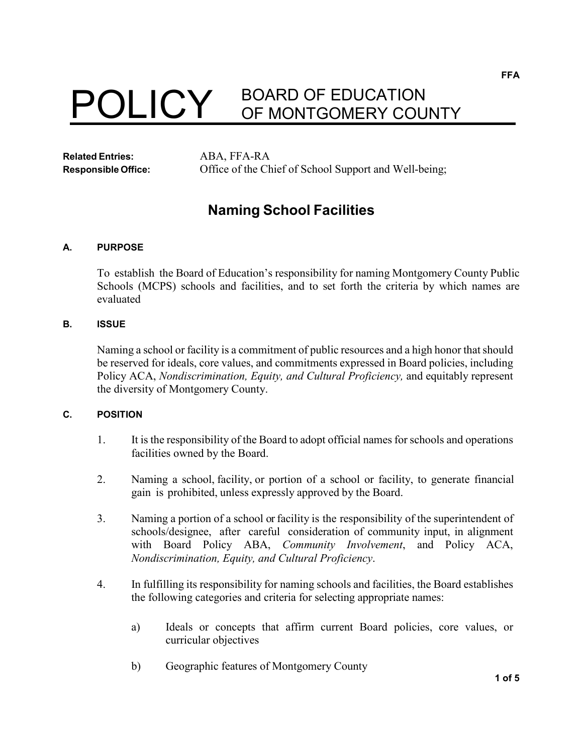# POLICY BOARD OF EDUCATION OF MONTGOMERY COUNTY

**Related Entries:** ABA, FFA-RA

**Responsible Office:** Office of the Chief of School Support and Well-being;

# **Naming School Facilities**

# **A. PURPOSE**

To establish the Board of Education's responsibility for naming Montgomery County Public Schools (MCPS) schools and facilities, and to set forth the criteria by which names are evaluated

# **B. ISSUE**

Naming a school or facility is a commitment of public resources and a high honor that should be reserved for ideals, core values, and commitments expressed in Board policies, including Policy ACA, *Nondiscrimination, Equity, and Cultural Proficiency,* and equitably represent the diversity of Montgomery County.

#### **C. POSITION**

- 1. It is the responsibility of the Board to adopt official namesfor schools and operations facilities owned by the Board.
- 2. Naming a school, facility, or portion of a school or facility, to generate financial gain is prohibited, unless expressly approved by the Board.
- 3. Naming a portion of a school or facility is the responsibility of the superintendent of schools/designee, after careful consideration of community input, in alignment with Board Policy ABA, *Community Involvement*, and Policy ACA, *Nondiscrimination, Equity, and Cultural Proficiency*.
- 4. In fulfilling its responsibility for naming schools and facilities, the Board establishes the following categories and criteria for selecting appropriate names:
	- a) Ideals or concepts that affirm current Board policies, core values, or curricular objectives
	- b) Geographic features of Montgomery County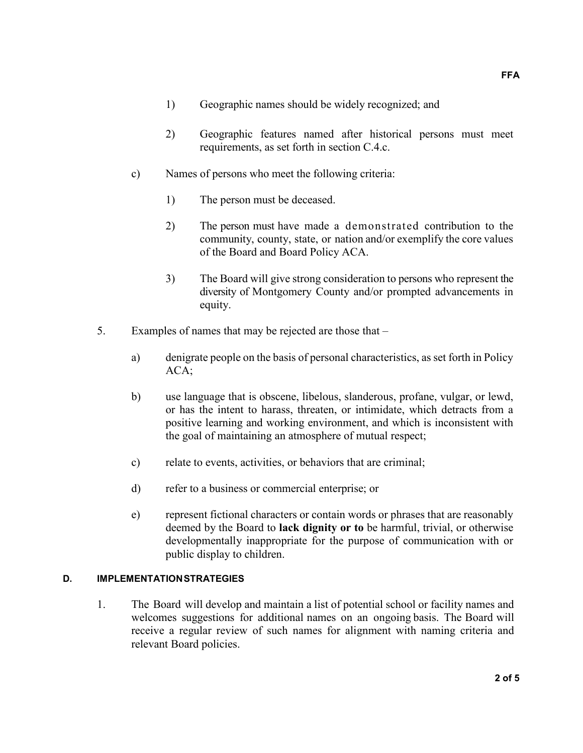- 1) Geographic names should be widely recognized; and
- 2) Geographic features named after historical persons must meet requirements, as set forth in section C.4.c.
- c) Names of persons who meet the following criteria:
	- 1) The person must be deceased.
	- 2) The person must have made a demonstrated contribution to the community, county, state, or nation and/or exemplify the core values of the Board and Board Policy ACA.
	- 3) The Board will give strong consideration to persons who represent the diversity of Montgomery County and/or prompted advancements in equity.
- 5. Examples of names that may be rejected are those that
	- a) denigrate people on the basis of personal characteristics, as set forth in Policy ACA;
	- b) use language that is obscene, libelous, slanderous, profane, vulgar, or lewd, or has the intent to harass, threaten, or intimidate, which detracts from a positive learning and working environment, and which is inconsistent with the goal of maintaining an atmosphere of mutual respect;
	- c) relate to events, activities, or behaviors that are criminal;
	- d) refer to a business or commercial enterprise; or
	- e) represent fictional characters or contain words or phrases that are reasonably deemed by the Board to **lack dignity or to** be harmful, trivial, or otherwise developmentally inappropriate for the purpose of communication with or public display to children.

#### **D. IMPLEMENTATIONSTRATEGIES**

1. The Board will develop and maintain a list of potential school or facility names and welcomes suggestions for additional names on an ongoing basis. The Board will receive a regular review of such names for alignment with naming criteria and relevant Board policies.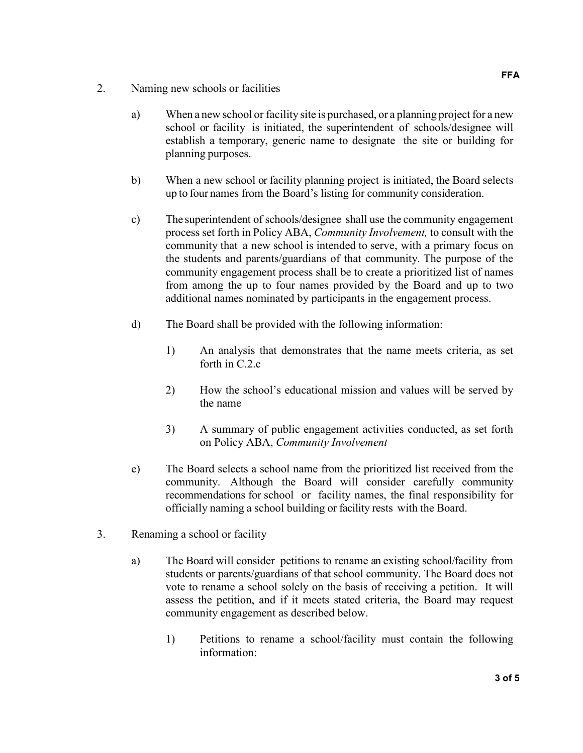- 2. Naming new schools or facilities
	- a) When a new school or facility site is purchased, or a planning project for a new school or facility is initiated, the superintendent of schools/designee will establish a temporary, generic name to designate the site or building for planning purposes.
	- b) When a new school or facility planning project is initiated, the Board selects up to four names from the Board's listing for community consideration.
	- c) The superintendent of schools/designee shall use the community engagement process set forth in Policy ABA, *Community Involvement,* to consult with the community that a new school is intended to serve, with a primary focus on the students and parents/guardians of that community. The purpose of the community engagement process shall be to create a prioritized list of names from among the up to four names provided by the Board and up to two additional names nominated by participants in the engagement process.
	- d) The Board shall be provided with the following information:
		- 1) An analysis that demonstrates that the name meets criteria, as set forth in C.2.c
		- 2) How the school's educational mission and values will be served by the name
		- 3) A summary of public engagement activities conducted, as set forth on Policy ABA, *Community Involvement*
	- e) The Board selects a school name from the prioritized list received from the community. Although the Board will consider carefully community recommendations for school or facility names, the final responsibility for officially naming a school building or facility rests with the Board.
- 3. Renaming a school or facility
	- a) The Board will consider petitions to rename an existing school/facility from students or parents/guardians of that school community. The Board does not vote to rename a school solely on the basis of receiving a petition. It will assess the petition, and if it meets stated criteria, the Board may request community engagement as described below.
		- 1) Petitions to rename a school/facility must contain the following information: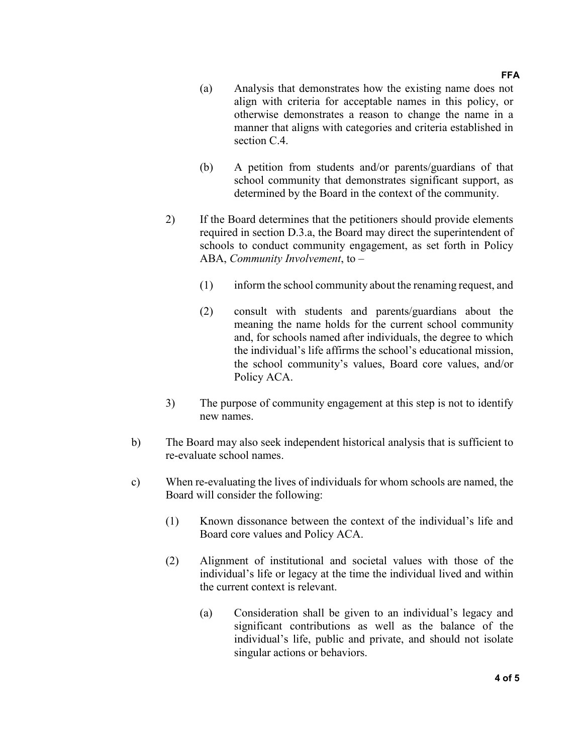#### **FFA**

- (a) Analysis that demonstrates how the existing name does not align with criteria for acceptable names in this policy, or otherwise demonstrates a reason to change the name in a manner that aligns with categories and criteria established in section C.4.
- (b) A petition from students and/or parents/guardians of that school community that demonstrates significant support, as determined by the Board in the context of the community.
- 2) If the Board determines that the petitioners should provide elements required in section D.3.a, the Board may direct the superintendent of schools to conduct community engagement, as set forth in Policy ABA, *Community Involvement*, to –
	- (1) inform the school community about the renaming request, and
	- (2) consult with students and parents/guardians about the meaning the name holds for the current school community and, for schools named after individuals, the degree to which the individual's life affirms the school's educational mission, the school community's values, Board core values, and/or Policy ACA.
- 3) The purpose of community engagement at this step is not to identify new names.
- b) The Board may also seek independent historical analysis that is sufficient to re-evaluate school names.
- c) When re-evaluating the lives of individuals for whom schools are named, the Board will consider the following:
	- (1) Known dissonance between the context of the individual's life and Board core values and Policy ACA.
	- (2) Alignment of institutional and societal values with those of the individual's life or legacy at the time the individual lived and within the current context is relevant.
		- (a) Consideration shall be given to an individual's legacy and significant contributions as well as the balance of the individual's life, public and private, and should not isolate singular actions or behaviors.